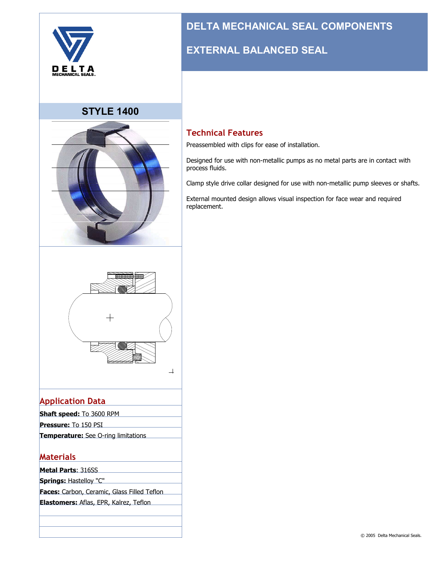

#### **STYLE 1400**



# **DELTA MECHANICAL SEAL COMPONENTS**

### **EXTERNAL BALANCED SEAL**

#### **Technical Features**

Preassembled with clips for ease of installation.

Designed for use with non-metallic pumps as no metal parts are in contact with process fluids.

Clamp style drive collar designed for use with non-metallic pump sleeves or shafts.

External mounted design allows visual inspection for face wear and required replacement.



#### **Application Data**

- **Shaft speed:** To 3600 RPM **Pressure:** To 150 PSI
- **Temperature:** See O-ring limitations

#### **Materials**

- **Metal Parts**: 316SS
- **Springs:** Hastelloy "C"
- **Faces:** Carbon, Ceramic, Glass Filled Teflon
- **Elastomers:** Aflas, EPR, Kalrez, Teflon